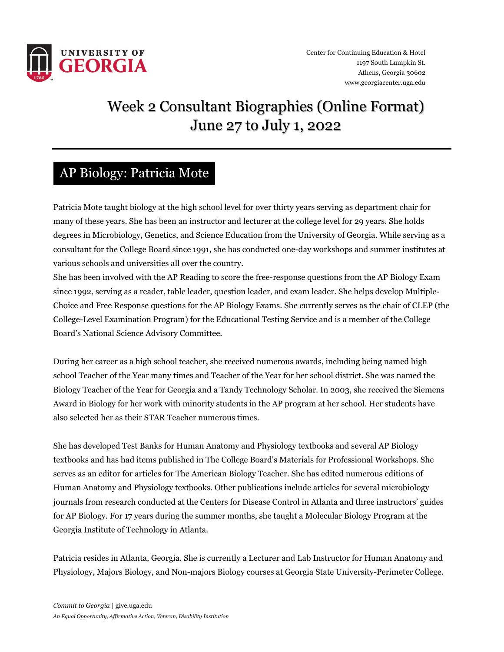

# Week 2 Consultant Biographies (Online Format) June 27 to July 1, 2022

#### AP Biology: Patricia Mote

Patricia Mote taught biology at the high school level for over thirty years serving as department chair for many of these years. She has been an instructor and lecturer at the college level for 29 years. She holds degrees in Microbiology, Genetics, and Science Education from the University of Georgia. While serving as a consultant for the College Board since 1991, she has conducted one-day workshops and summer institutes at various schools and universities all over the country.

She has been involved with the AP Reading to score the free-response questions from the AP Biology Exam since 1992, serving as a reader, table leader, question leader, and exam leader. She helps develop Multiple-Choice and Free Response questions for the AP Biology Exams. She currently serves as the chair of CLEP (the College-Level Examination Program) for the Educational Testing Service and is a member of the College Board's National Science Advisory Committee.

During her career as a high school teacher, she received numerous awards, including being named high school Teacher of the Year many times and Teacher of the Year for her school district. She was named the Biology Teacher of the Year for Georgia and a Tandy Technology Scholar. In 2003, she received the Siemens Award in Biology for her work with minority students in the AP program at her school. Her students have also selected her as their STAR Teacher numerous times.

She has developed Test Banks for Human Anatomy and Physiology textbooks and several AP Biology textbooks and has had items published in The College Board's Materials for Professional Workshops. She serves as an editor for articles for The American Biology Teacher. She has edited numerous editions of Human Anatomy and Physiology textbooks. Other publications include articles for several microbiology journals from research conducted at the Centers for Disease Control in Atlanta and three instructors' guides for AP Biology. For 17 years during the summer months, she taught a Molecular Biology Program at the Georgia Institute of Technology in Atlanta.

Patricia resides in Atlanta, Georgia. She is currently a Lecturer and Lab Instructor for Human Anatomy and Physiology, Majors Biology, and Non-majors Biology courses at Georgia State University-Perimeter College.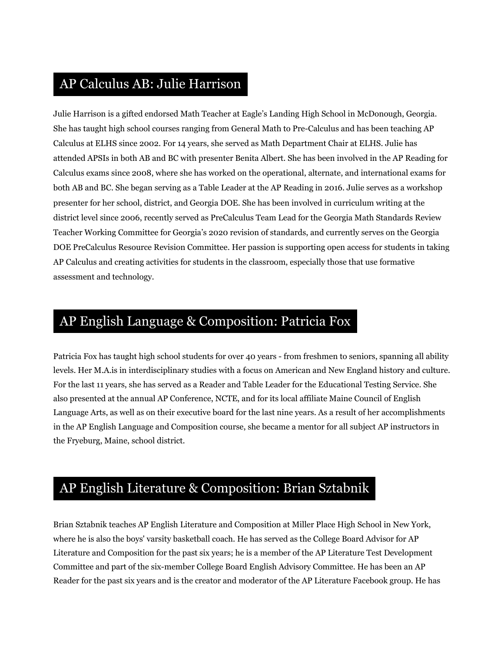#### AP Calculus AB: Julie Harrison

Julie Harrison is a gifted endorsed Math Teacher at Eagle's Landing High School in McDonough, Georgia. She has taught high school courses ranging from General Math to Pre-Calculus and has been teaching AP Calculus at ELHS since 2002. For 14 years, she served as Math Department Chair at ELHS. Julie has attended APSIs in both AB and BC with presenter Benita Albert. She has been involved in the AP Reading for Calculus exams since 2008, where she has worked on the operational, alternate, and international exams for both AB and BC. She began serving as a Table Leader at the AP Reading in 2016. Julie serves as a workshop presenter for her school, district, and Georgia DOE. She has been involved in curriculum writing at the district level since 2006, recently served as PreCalculus Team Lead for the Georgia Math Standards Review Teacher Working Committee for Georgia's 2020 revision of standards, and currently serves on the Georgia DOE PreCalculus Resource Revision Committee. Her passion is supporting open access for students in taking AP Calculus and creating activities for students in the classroom, especially those that use formative assessment and technology.

### AP English Language & Composition: Patricia Fox

Patricia Fox has taught high school students for over 40 years - from freshmen to seniors, spanning all ability levels. Her M.A.is in interdisciplinary studies with a focus on American and New England history and culture. For the last 11 years, she has served as a Reader and Table Leader for the Educational Testing Service. She also presented at the annual AP Conference, NCTE, and for its local affiliate Maine Council of English Language Arts, as well as on their executive board for the last nine years. As a result of her accomplishments in the AP English Language and Composition course, she became a mentor for all subject AP instructors in the Fryeburg, Maine, school district.

#### AP English Literature & Composition: Brian Sztabnik

Brian Sztabnik teaches AP English Literature and Composition at Miller Place High School in New York, where he is also the boys' varsity basketball coach. He has served as the College Board Advisor for AP Literature and Composition for the past six years; he is a member of the AP Literature Test Development Committee and part of the six-member College Board English Advisory Committee. He has been an AP Reader for the past six years and is the creator and moderator of the AP Literature Facebook group. He has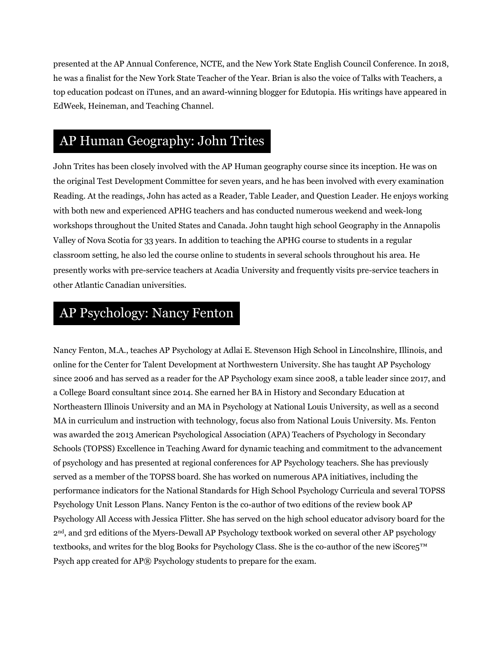presented at the AP Annual Conference, NCTE, and the New York State English Council Conference. In 2018, he was a finalist for the New York State Teacher of the Year. Brian is also the voice of Talks with Teachers, a top education podcast on iTunes, and an award-winning blogger for Edutopia. His writings have appeared in EdWeek, Heineman, and Teaching Channel.

#### AP Human Geography: John Trites

John Trites has been closely involved with the AP Human geography course since its inception. He was on the original Test Development Committee for seven years, and he has been involved with every examination Reading. At the readings, John has acted as a Reader, Table Leader, and Question Leader. He enjoys working with both new and experienced APHG teachers and has conducted numerous weekend and week-long workshops throughout the United States and Canada. John taught high school Geography in the Annapolis Valley of Nova Scotia for 33 years. In addition to teaching the APHG course to students in a regular classroom setting, he also led the course online to students in several schools throughout his area. He presently works with pre-service teachers at Acadia University and frequently visits pre-service teachers in other Atlantic Canadian universities.

# AP Psychology: Nancy Fenton

Nancy Fenton, M.A., teaches AP Psychology at Adlai E. Stevenson High School in Lincolnshire, Illinois, and online for the Center for Talent Development at Northwestern University. She has taught AP Psychology since 2006 and has served as a reader for the AP Psychology exam since 2008, a table leader since 2017, and a College Board consultant since 2014. She earned her BA in History and Secondary Education at Northeastern Illinois University and an MA in Psychology at National Louis University, as well as a second MA in curriculum and instruction with technology, focus also from National Louis University. Ms. Fenton was awarded the 2013 American Psychological Association (APA) Teachers of Psychology in Secondary Schools (TOPSS) Excellence in Teaching Award for dynamic teaching and commitment to the advancement of psychology and has presented at regional conferences for AP Psychology teachers. She has previously served as a member of the TOPSS board. She has worked on numerous APA initiatives, including the performance indicators for the National Standards for High School Psychology Curricula and several TOPSS Psychology Unit Lesson Plans. Nancy Fenton is the co-author of two editions of the review book AP Psychology All Access with Jessica Flitter. She has served on the high school educator advisory board for the 2nd, and 3rd editions of the Myers-Dewall AP Psychology textbook worked on several other AP psychology textbooks, and writes for the blog Books for Psychology Class. She is the co-author of the new iScore5™ Psych app created for AP® Psychology students to prepare for the exam.